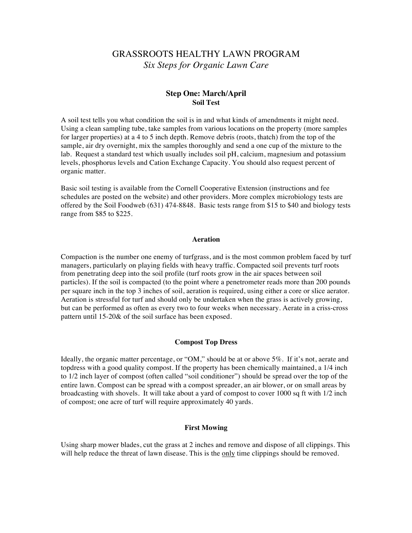### **Step One: March/April Soil Test**

A soil test tells you what condition the soil is in and what kinds of amendments it might need. Using a clean sampling tube, take samples from various locations on the property (more samples for larger properties) at a 4 to 5 inch depth. Remove debris (roots, thatch) from the top of the sample, air dry overnight, mix the samples thoroughly and send a one cup of the mixture to the lab. Request a standard test which usually includes soil pH, calcium, magnesium and potassium levels, phosphorus levels and Cation Exchange Capacity. You should also request percent of organic matter.

Basic soil testing is available from the Cornell Cooperative Extension (instructions and fee schedules are posted on the website) and other providers. More complex microbiology tests are offered by the Soil Foodweb (631) 474-8848. Basic tests range from \$15 to \$40 and biology tests range from \$85 to \$225.

#### **Aeration**

Compaction is the number one enemy of turfgrass, and is the most common problem faced by turf managers, particularly on playing fields with heavy traffic. Compacted soil prevents turf roots from penetrating deep into the soil profile (turf roots grow in the air spaces between soil particles). If the soil is compacted (to the point where a penetrometer reads more than 200 pounds per square inch in the top 3 inches of soil, aeration is required, using either a core or slice aerator. Aeration is stressful for turf and should only be undertaken when the grass is actively growing, but can be performed as often as every two to four weeks when necessary. Aerate in a criss-cross pattern until 15-20& of the soil surface has been exposed.

#### **Compost Top Dress**

Ideally, the organic matter percentage, or "OM," should be at or above 5%. If it's not, aerate and topdress with a good quality compost. If the property has been chemically maintained, a 1/4 inch to 1/2 inch layer of compost (often called "soil conditioner") should be spread over the top of the entire lawn. Compost can be spread with a compost spreader, an air blower, or on small areas by broadcasting with shovels. It will take about a yard of compost to cover 1000 sq ft with 1/2 inch of compost; one acre of turf will require approximately 40 yards.

#### **First Mowing**

Using sharp mower blades, cut the grass at 2 inches and remove and dispose of all clippings. This will help reduce the threat of lawn disease. This is the only time clippings should be removed.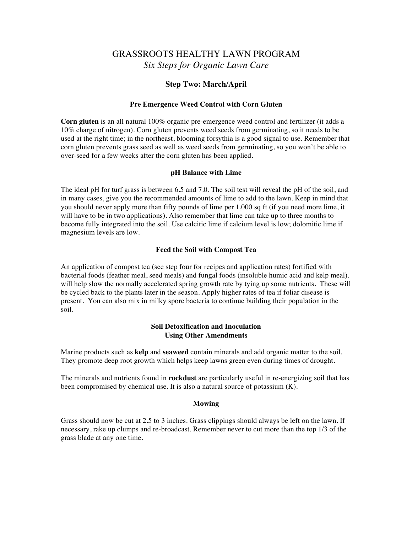### **Step Two: March/April**

#### **Pre Emergence Weed Control with Corn Gluten**

**Corn gluten** is an all natural 100% organic pre-emergence weed control and fertilizer (it adds a 10% charge of nitrogen). Corn gluten prevents weed seeds from germinating, so it needs to be used at the right time; in the northeast, blooming forsythia is a good signal to use. Remember that corn gluten prevents grass seed as well as weed seeds from germinating, so you won't be able to over-seed for a few weeks after the corn gluten has been applied.

#### **pH Balance with Lime**

The ideal pH for turf grass is between 6.5 and 7.0. The soil test will reveal the pH of the soil, and in many cases, give you the recommended amounts of lime to add to the lawn. Keep in mind that you should never apply more than fifty pounds of lime per 1,000 sq ft (if you need more lime, it will have to be in two applications). Also remember that lime can take up to three months to become fully integrated into the soil. Use calcitic lime if calcium level is low; dolomitic lime if magnesium levels are low.

#### **Feed the Soil with Compost Tea**

An application of compost tea (see step four for recipes and application rates) fortified with bacterial foods (feather meal, seed meals) and fungal foods (insoluble humic acid and kelp meal). will help slow the normally accelerated spring growth rate by tying up some nutrients. These will be cycled back to the plants later in the season. Apply higher rates of tea if foliar disease is present. You can also mix in milky spore bacteria to continue building their population in the soil.

#### **Soil Detoxification and Inoculation Using Other Amendments**

Marine products such as **kelp** and **seaweed** contain minerals and add organic matter to the soil. They promote deep root growth which helps keep lawns green even during times of drought.

The minerals and nutrients found in **rockdust** are particularly useful in re-energizing soil that has been compromised by chemical use. It is also a natural source of potassium (K).

#### **Mowing**

Grass should now be cut at 2.5 to 3 inches. Grass clippings should always be left on the lawn. If necessary, rake up clumps and re-broadcast. Remember never to cut more than the top 1/3 of the grass blade at any one time.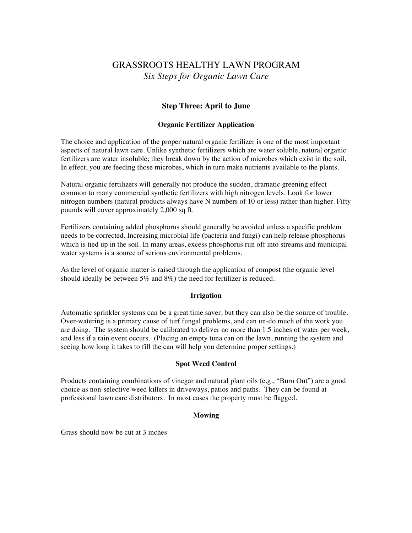## **Step Three: April to June**

### **Organic Fertilizer Application**

The choice and application of the proper natural organic fertilizer is one of the most important aspects of natural lawn care. Unlike synthetic fertilizers which are water soluble, natural organic fertilizers are water insoluble; they break down by the action of microbes which exist in the soil. In effect, you are feeding those microbes, which in turn make nutrients available to the plants.

Natural organic fertilizers will generally not produce the sudden, dramatic greening effect common to many commercial synthetic fertilizers with high nitrogen levels. Look for lower nitrogen numbers (natural products always have N numbers of 10 or less) rather than higher. Fifty pounds will cover approximately 2,000 sq ft.

Fertilizers containing added phosphorus should generally be avoided unless a specific problem needs to be corrected. Increasing microbial life (bacteria and fungi) can help release phosphorus which is tied up in the soil. In many areas, excess phosphorus run off into streams and municipal water systems is a source of serious environmental problems.

As the level of organic matter is raised through the application of compost (the organic level should ideally be between 5% and 8%) the need for fertilizer is reduced.

### **Irrigation**

Automatic sprinkler systems can be a great time saver, but they can also be the source of trouble. Over-watering is a primary cause of turf fungal problems, and can un-do much of the work you are doing. The system should be calibrated to deliver no more than 1.5 inches of water per week, and less if a rain event occurs. (Placing an empty tuna can on the lawn, running the system and seeing how long it takes to fill the can will help you determine proper settings.)

### **Spot Weed Control**

Products containing combinations of vinegar and natural plant oils (e.g., "Burn Out") are a good choice as non-selective weed killers in driveways, patios and paths. They can be found at professional lawn care distributors. In most cases the property must be flagged.

### **Mowing**

Grass should now be cut at 3 inches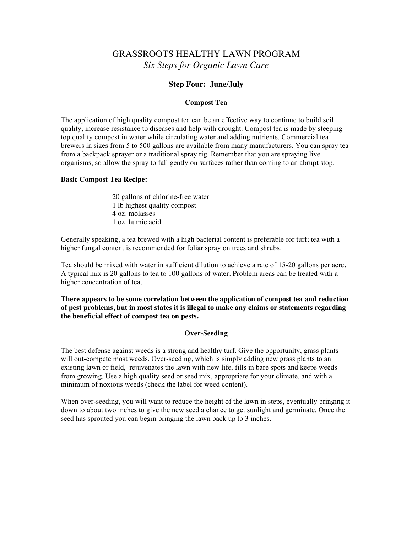### **Step Four: June/July**

#### **Compost Tea**

The application of high quality compost tea can be an effective way to continue to build soil quality, increase resistance to diseases and help with drought. Compost tea is made by steeping top quality compost in water while circulating water and adding nutrients. Commercial tea brewers in sizes from 5 to 500 gallons are available from many manufacturers. You can spray tea from a backpack sprayer or a traditional spray rig. Remember that you are spraying live organisms, so allow the spray to fall gently on surfaces rather than coming to an abrupt stop.

#### **Basic Compost Tea Recipe:**

20 gallons of chlorine-free water 1 lb highest quality compost 4 oz. molasses 1 oz. humic acid

Generally speaking, a tea brewed with a high bacterial content is preferable for turf; tea with a higher fungal content is recommended for foliar spray on trees and shrubs.

Tea should be mixed with water in sufficient dilution to achieve a rate of 15-20 gallons per acre. A typical mix is 20 gallons to tea to 100 gallons of water. Problem areas can be treated with a higher concentration of tea.

**There appears to be some correlation between the application of compost tea and reduction of pest problems, but in most states it is illegal to make any claims or statements regarding the beneficial effect of compost tea on pests.**

### **Over-Seeding**

The best defense against weeds is a strong and healthy turf. Give the opportunity, grass plants will out-compete most weeds. Over-seeding, which is simply adding new grass plants to an existing lawn or field, rejuvenates the lawn with new life, fills in bare spots and keeps weeds from growing. Use a high quality seed or seed mix, appropriate for your climate, and with a minimum of noxious weeds (check the label for weed content).

When over-seeding, you will want to reduce the height of the lawn in steps, eventually bringing it down to about two inches to give the new seed a chance to get sunlight and germinate. Once the seed has sprouted you can begin bringing the lawn back up to 3 inches.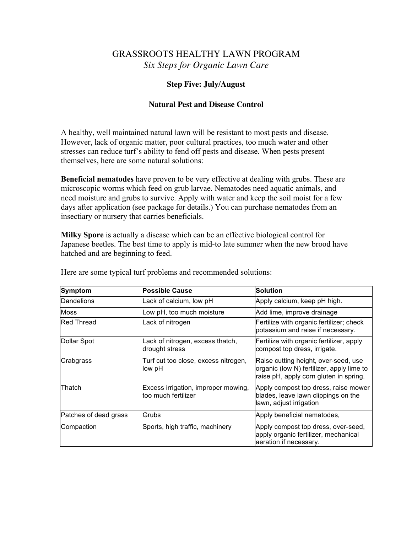## **Step Five: July/August**

## **Natural Pest and Disease Control**

A healthy, well maintained natural lawn will be resistant to most pests and disease. However, lack of organic matter, poor cultural practices, too much water and other stresses can reduce turf's ability to fend off pests and disease. When pests present themselves, here are some natural solutions:

**Beneficial nematodes** have proven to be very effective at dealing with grubs. These are microscopic worms which feed on grub larvae. Nematodes need aquatic animals, and need moisture and grubs to survive. Apply with water and keep the soil moist for a few days after application (see package for details.) You can purchase nematodes from an insectiary or nursery that carries beneficials.

**Milky Spore** is actually a disease which can be an effective biological control for Japanese beetles. The best time to apply is mid-to late summer when the new brood have hatched and are beginning to feed.

| <b>Symptom</b>        | <b>Possible Cause</b>                                      | <b>Solution</b>                                                                                                             |
|-----------------------|------------------------------------------------------------|-----------------------------------------------------------------------------------------------------------------------------|
| Dandelions            | Lack of calcium, low pH                                    | Apply calcium, keep pH high.                                                                                                |
| <b>Moss</b>           | Low pH, too much moisture                                  | Add lime, improve drainage                                                                                                  |
| <b>Red Thread</b>     | Lack of nitrogen                                           | Fertilize with organic fertilizer; check<br>potassium and raise if necessary.                                               |
| Dollar Spot           | Lack of nitrogen, excess thatch,<br>drought stress         | Fertilize with organic fertilizer, apply<br>compost top dress, irrigate.                                                    |
| Crabgrass             | Turf cut too close, excess nitrogen,<br>low pH             | Raise cutting height, over-seed, use<br>organic (low N) fertilizer, apply lime to<br>raise pH, apply corn gluten in spring. |
| Thatch                | Excess irrigation, improper mowing,<br>too much fertilizer | Apply compost top dress, raise mower<br>blades, leave lawn clippings on the<br>lawn, adjust irrigation                      |
| Patches of dead grass | Grubs                                                      | Apply beneficial nematodes,                                                                                                 |
| Compaction            | Sports, high traffic, machinery                            | Apply compost top dress, over-seed,<br>apply organic fertilizer, mechanical<br>aeration if necessary.                       |

Here are some typical turf problems and recommended solutions: